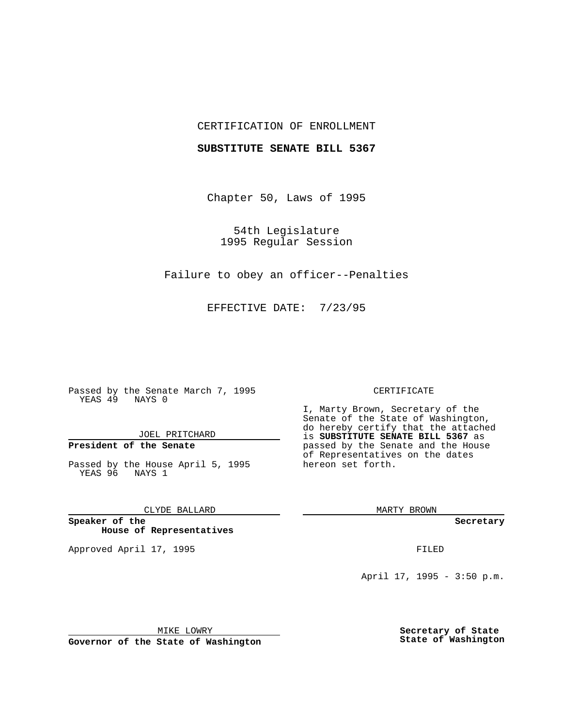## CERTIFICATION OF ENROLLMENT

### **SUBSTITUTE SENATE BILL 5367**

Chapter 50, Laws of 1995

54th Legislature 1995 Regular Session

Failure to obey an officer--Penalties

EFFECTIVE DATE: 7/23/95

Passed by the Senate March 7, 1995 YEAS 49 NAYS 0

JOEL PRITCHARD

# **President of the Senate**

Passed by the House April 5, 1995 YEAS 96 NAYS 1

CLYDE BALLARD

**Speaker of the House of Representatives**

Approved April 17, 1995 **FILED** 

#### CERTIFICATE

I, Marty Brown, Secretary of the Senate of the State of Washington, do hereby certify that the attached is **SUBSTITUTE SENATE BILL 5367** as passed by the Senate and the House of Representatives on the dates hereon set forth.

MARTY BROWN

**Secretary**

April 17, 1995 - 3:50 p.m.

MIKE LOWRY **Governor of the State of Washington** **Secretary of State State of Washington**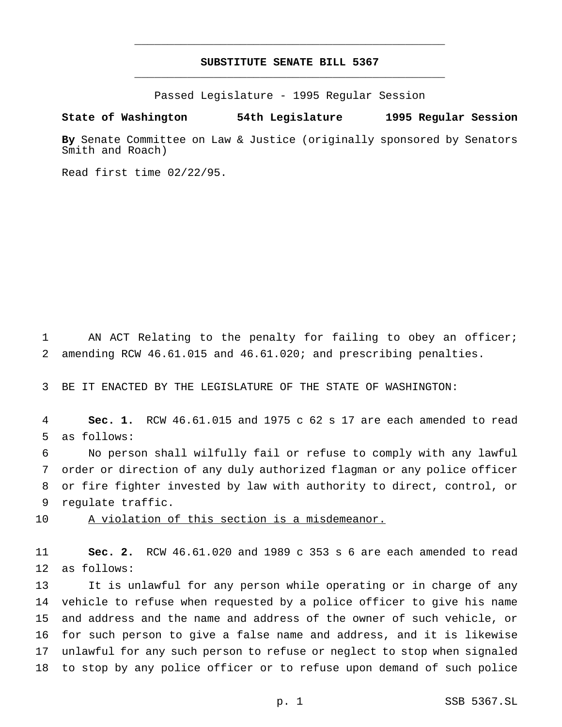## **SUBSTITUTE SENATE BILL 5367** \_\_\_\_\_\_\_\_\_\_\_\_\_\_\_\_\_\_\_\_\_\_\_\_\_\_\_\_\_\_\_\_\_\_\_\_\_\_\_\_\_\_\_\_\_\_\_

\_\_\_\_\_\_\_\_\_\_\_\_\_\_\_\_\_\_\_\_\_\_\_\_\_\_\_\_\_\_\_\_\_\_\_\_\_\_\_\_\_\_\_\_\_\_\_

Passed Legislature - 1995 Regular Session

#### **State of Washington 54th Legislature 1995 Regular Session**

**By** Senate Committee on Law & Justice (originally sponsored by Senators Smith and Roach)

Read first time 02/22/95.

 AN ACT Relating to the penalty for failing to obey an officer; amending RCW 46.61.015 and 46.61.020; and prescribing penalties.

BE IT ENACTED BY THE LEGISLATURE OF THE STATE OF WASHINGTON:

 **Sec. 1.** RCW 46.61.015 and 1975 c 62 s 17 are each amended to read as follows:

 No person shall wilfully fail or refuse to comply with any lawful order or direction of any duly authorized flagman or any police officer or fire fighter invested by law with authority to direct, control, or regulate traffic.

10 A violation of this section is a misdemeanor.

 **Sec. 2.** RCW 46.61.020 and 1989 c 353 s 6 are each amended to read as follows:

 It is unlawful for any person while operating or in charge of any vehicle to refuse when requested by a police officer to give his name and address and the name and address of the owner of such vehicle, or for such person to give a false name and address, and it is likewise unlawful for any such person to refuse or neglect to stop when signaled to stop by any police officer or to refuse upon demand of such police